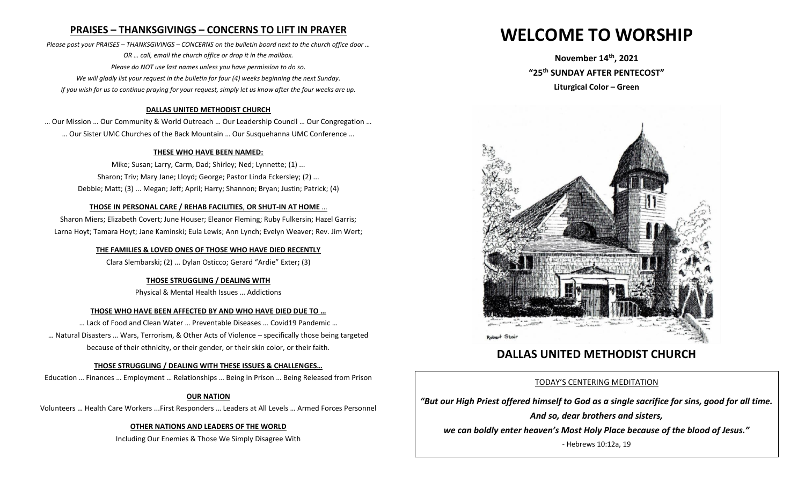## **PRAISES – THANKSGIVINGS – CONCERNS TO LIFT IN PRAYER**

*Please post your PRAISES – THANKSGIVINGS – CONCERNS on the bulletin board next to the church office door … OR … call, email the church office or drop it in the mailbox. Please do NOT use last names unless you have permission to do so. We will gladly list your request in the bulletin for four (4) weeks beginning the next Sunday. If you wish for us to continue praying for your request, simply let us know after the four weeks are up.*

#### **DALLAS UNITED METHODIST CHURCH**

… Our Mission … Our Community & World Outreach … Our Leadership Council … Our Congregation … … Our Sister UMC Churches of the Back Mountain … Our Susquehanna UMC Conference …

#### **THESE WHO HAVE BEEN NAMED:**

Mike; Susan; Larry, Carm, Dad; Shirley; Ned; Lynnette; (1) ... Sharon; Triv; Mary Jane; Lloyd; George; Pastor Linda Eckersley; (2) ... Debbie; Matt; (3) ... Megan; Jeff; April; Harry; Shannon; Bryan; Justin; Patrick; (4)

#### **THOSE IN PERSONAL CARE / REHAB FACILITIES**, **OR SHUT-IN AT HOME** …

Sharon Miers; Elizabeth Covert; June Houser; Eleanor Fleming; Ruby Fulkersin; Hazel Garris; Larna Hoyt; Tamara Hoyt; Jane Kaminski; Eula Lewis; Ann Lynch; Evelyn Weaver; Rev. Jim Wert;

#### **THE FAMILIES & LOVED ONES OF THOSE WHO HAVE DIED RECENTLY**

Clara Slembarski; (2) ... Dylan Osticco; Gerard "Ardie" Exter**;** (3)

#### **THOSE STRUGGLING / DEALING WITH**

Physical & Mental Health Issues … Addictions

#### **THOSE WHO HAVE BEEN AFFECTED BY AND WHO HAVE DIED DUE TO …**

… Lack of Food and Clean Water … Preventable Diseases … Covid19 Pandemic … … Natural Disasters … Wars, Terrorism, & Other Acts of Violence – specifically those being targeted because of their ethnicity, or their gender, or their skin color, or their faith.

#### **THOSE STRUGGLING / DEALING WITH THESE ISSUES & CHALLENGES…**

Education … Finances … Employment … Relationships … Being in Prison … Being Released from Prison

#### **OUR NATION**

Volunteers … Health Care Workers ...First Responders … Leaders at All Levels … Armed Forces Personnel

#### **OTHER NATIONS AND LEADERS OF THE WORLD**

Including Our Enemies & Those We Simply Disagree With

# **WELCOME TO WORSHIP**

**November 14th , 2021 "25 th SUNDAY AFTER PENTECOST" Liturgical Color – Green**



# **DALLAS UNITED METHODIST CHURCH**

#### TODAY'S CENTERING MEDITATION

*"But our High Priest offered himself to God as a single sacrifice for sins, good for all time. And so, dear brothers and sisters,* 

*we can boldly enter heaven's Most Holy Place because of the blood of Jesus."*

- Hebrews 10:12a, 19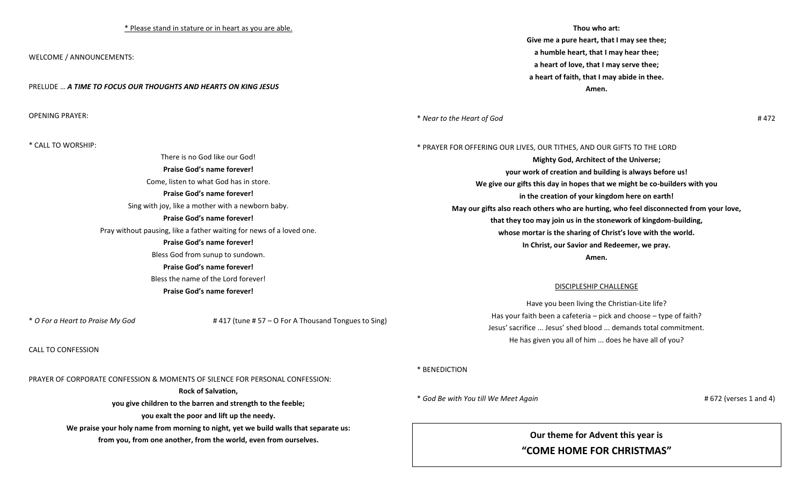#### \* Please stand in stature or in heart as you are able.

WELCOME / ANNOUNCEMENTS:

PRELUDE … *A TIME TO FOCUS OUR THOUGHTS AND HEARTS ON KING JESUS*

OPENING PRAYER:

**Thou who art:**

**Give me a pure heart, that I may see thee; a humble heart, that I may hear thee; a heart of love, that I may serve thee; a heart of faith, that I may abide in thee. Amen.**

\* *Near to the Heart of God* # 472

| * CALL TO WORSHIP:                                                   | * PRAYER FOR OFFERING OUR LIVES, OUR TITHES, AND OUR GIFTS TO THE LORD                 |
|----------------------------------------------------------------------|----------------------------------------------------------------------------------------|
| There is no God like our God!                                        | <b>Mighty God, Architect of the Universe;</b>                                          |
| Praise God's name forever!                                           | your work of creation and building is always before us!                                |
| Come, listen to what God has in store.                               | We give our gifts this day in hopes that we might be co-builders with you              |
| Praise God's name forever!                                           | in the creation of your kingdom here on earth!                                         |
| Sing with joy, like a mother with a newborn baby.                    | May our gifts also reach others who are hurting, who feel disconnected from your love, |
| <b>Praise God's name forever!</b>                                    | that they too may join us in the stonework of kingdom-building,                        |
| Pray without pausing, like a father waiting for news of a loved one. | whose mortar is the sharing of Christ's love with the world.                           |
| Praise God's name forever!                                           | In Christ, our Savior and Redeemer, we pray.                                           |
| Bless God from sunup to sundown.                                     | Amen.                                                                                  |
| Praise God's name forever!                                           |                                                                                        |
| Bless the name of the Lord forever!                                  | DISCIPLESHIP CHALLENGE                                                                 |
| <b>Praise God's name forever!</b>                                    |                                                                                        |

\* *O For a Heart to Praise My God* # 417 (tune # 57 – O For A Thousand Tongues to Sing)

CALL TO CONFESSION

PRAYER OF CORPORATE CONFESSION & MOMENTS OF SILENCE FOR PERSONAL CONFESSION:

**Rock of Salvation,**

**you give children to the barren and strength to the feeble;**

**you exalt the poor and lift up the needy.**

**We praise your holy name from morning to night, yet we build walls that separate us: from you, from one another, from the world, even from ourselves.**

#### \* BENEDICTION

\* *God Be with You till We Meet Again* # 672 (verses 1 and 4)

## **Our theme for Advent this year is**

Have you been living the Christian-Lite life? Has your faith been a cafeteria – pick and choose – type of faith? Jesus' sacrifice ... Jesus' shed blood ... demands total commitment. He has given you all of him ... does he have all of you?

**"COME HOME FOR CHRISTMAS"**